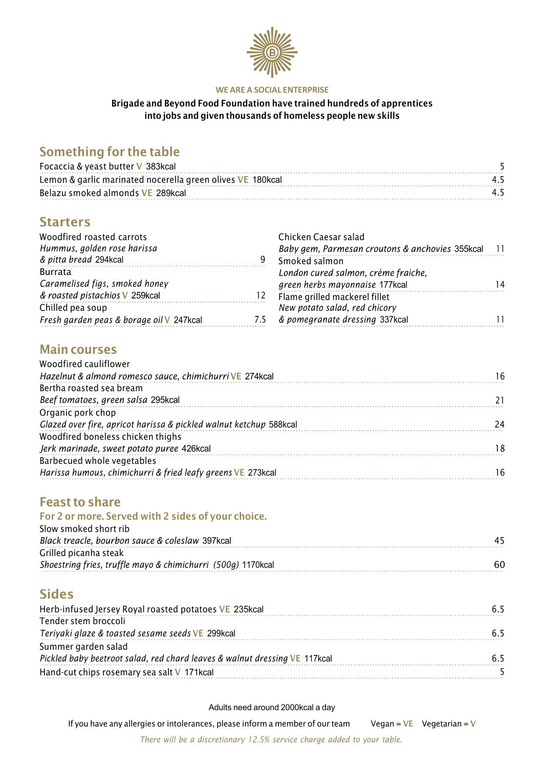

#### **WE ARE A SOCIAL ENTERPRISE**

#### Brigade and Beyond Food Foundation have trained hundreds of apprentices into jobs and given thousands of homeless people new skills

# Something for the table

| Focaccia & yeast butter V 383kcal                          |  |
|------------------------------------------------------------|--|
| Lemon & garlic marinated nocerella green olives VE 180kcal |  |
| Belazu smoked almonds VE 289kcal                           |  |

### **Starters**

| Woodfired roasted carrots                |      | Chicken Caesar salad                               |    |
|------------------------------------------|------|----------------------------------------------------|----|
| Hummus, golden rose harissa              |      | Baby gem, Parmesan croutons & anchovies 355kcal 11 |    |
| & pitta bread 294kcal                    | 9    | Smoked salmon                                      |    |
| <b>Burrata</b>                           |      | London cured salmon, crème fraiche,                |    |
| Caramelised figs, smoked honey           |      | green herbs mayonnaise 177kcal                     | 14 |
| & roasted pistachios V 259kcal           | I 2. | Flame grilled mackerel fillet                      |    |
| Chilled pea soup                         |      | New potato salad, red chicory                      |    |
| Fresh garden peas & borage oil V 247kcal | 7.5  | & pomegranate dressing 337kcal                     |    |
|                                          |      |                                                    |    |

# Main courses

| Woodfired cauliflower                                              |    |
|--------------------------------------------------------------------|----|
| Hazelnut & almond romesco sauce, chimichurri VE 274kcal            | 16 |
| Bertha roasted sea bream                                           |    |
| Beef tomatoes, green salsa 295kcal                                 |    |
| Organic pork chop                                                  |    |
| Glazed over fire, apricot harissa & pickled walnut ketchup 588kcal | 24 |
| Woodfired boneless chicken thighs                                  |    |
| Jerk marinade, sweet potato puree 426kcal                          | 18 |
| Barbecued whole vegetables                                         |    |
| Harissa humous, chimichurri & fried leafy greens VE 273kcal        | 16 |

### Feast to share

#### For 2 or more. Served with 2 sides of your choice.

| Slow smoked short rib                                        |     |
|--------------------------------------------------------------|-----|
| Black treacle, bourbon sauce & coleslaw 397kcal              |     |
| Grilled picanha steak                                        |     |
| Shoestring fries, truffle mayo & chimichurri (500g) 1170kcal | 60. |
|                                                              |     |

### **Sides**

| Herb-infused Jersey Royal roasted potatoes VE 235kcal                      |  |
|----------------------------------------------------------------------------|--|
| Tender stem broccoli                                                       |  |
| Teriyaki glaze & toasted sesame seeds VE 299kcal                           |  |
| Summer garden salad                                                        |  |
| Pickled baby beetroot salad, red chard leaves & walnut dressing VE 117kcal |  |
| Hand-cut chips rosemary sea salt V 171kcal                                 |  |

Adults need around 2000kcal a day

If you have any allergies or intolerances, please inform a member of our team Vegan =  $VE$  Vegetarian = V